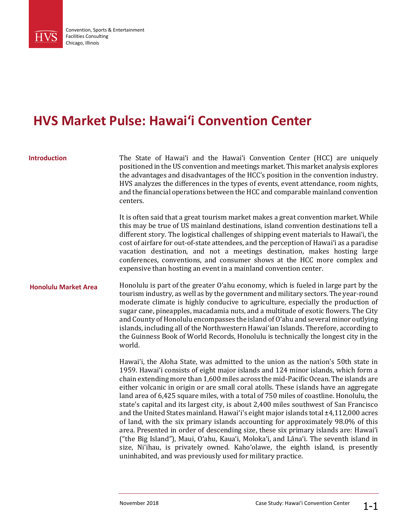

## **HVS Market Pulse: Hawai'i Convention Center**

### **Introduction**

The State of Hawai'i and the Hawai'i Convention Center (HCC) are uniquely positioned in the US convention and meetings market. This market analysis explores the advantages and disadvantages of the HCC's position in the convention industry. HVS analyzes the differences in the types of events, event attendance, room nights, and the financial operations between the HCC and comparable mainland convention centers.

It is often said that a great tourism market makes a great convention market. While this may be true of US mainland destinations, island convention destinations tell a different story. The logistical challenges of shipping event materials to Hawai'i, the cost of airfare for out-of-state attendees, and the perception of Hawai'i as a paradise vacation destination, and not a meetings destination, makes hosting large conferences, conventions, and consumer shows at the HCC more complex and expensive than hosting an event in a mainland convention center.

#### **Honolulu Market Area**

Honolulu is part of the greater O'ahu economy, which is fueled in large part by the tourism industry, as well as by the government and military sectors. The year-round moderate climate is highly conducive to agriculture, especially the production of sugar cane, pineapples, macadamia nuts, and a multitude of exotic flowers. The City and County of Honolulu encompasses the island of O'ahu and several minor outlying islands, including all of the Northwestern Hawai'ian Islands. Therefore, according to the Guinness Book of World Records, Honolulu is technically the longest city in the world.

Hawai'i, the Aloha State, was admitted to the union as the nation's 50th state in 1959. Hawai'i consists of eight major islands and 124 minor islands, which form a chain extending more than 1,600 miles across the mid-Pacific Ocean. The islands are either volcanic in origin or are small coral atolls. These islands have an aggregate land area of 6,425 square miles, with a total of 750 miles of coastline. Honolulu, the state's capital and its largest city, is about 2,400 miles southwest of San Francisco and the United States mainland. Hawai'i's eight major islands total ±4,112,000 acres of land, with the six primary islands accounting for approximately 98.0% of this area. Presented in order of descending size, these six primary islands are: Hawai'i ("the Big Island"), Maui, O'ahu, Kaua'i, Moloka'i, and Lāna'i. The seventh island in size, Ni'ihau, is privately owned. Kaho'olawe, the eighth island, is presently uninhabited, and was previously used for military practice.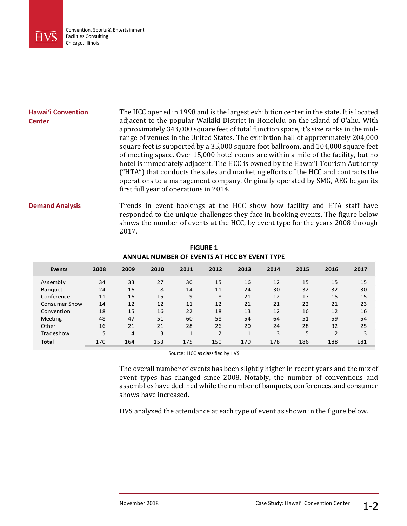

| <b>Hawai'i Convention</b><br><b>Center</b> | The HCC opened in 1998 and is the largest exhibition center in the state. It is located<br>adjacent to the popular Waikiki District in Honolulu on the island of O'ahu. With<br>approximately 343,000 square feet of total function space, it's size ranks in the mid-<br>range of venues in the United States. The exhibition hall of approximately 204,000<br>square feet is supported by a 35,000 square foot ballroom, and 104,000 square feet<br>of meeting space. Over 15,000 hotel rooms are within a mile of the facility, but no<br>hotel is immediately adjacent. The HCC is owned by the Hawai'i Tourism Authority<br>("HTA") that conducts the sales and marketing efforts of the HCC and contracts the<br>operations to a management company. Originally operated by SMG, AEG began its<br>first full year of operations in 2014. |
|--------------------------------------------|------------------------------------------------------------------------------------------------------------------------------------------------------------------------------------------------------------------------------------------------------------------------------------------------------------------------------------------------------------------------------------------------------------------------------------------------------------------------------------------------------------------------------------------------------------------------------------------------------------------------------------------------------------------------------------------------------------------------------------------------------------------------------------------------------------------------------------------------|
| <b>Demand Analysis</b>                     | Trends in event bookings at the HCC show how facility and HTA staff have                                                                                                                                                                                                                                                                                                                                                                                                                                                                                                                                                                                                                                                                                                                                                                       |

responded to the unique challenges they face in booking events. The figure below shows the number of events at the HCC, by event type for the years 2008 through 2017.

| , ,, ,, , ,, , ,     |      |      |      |      |                |      |      |      |                |      |
|----------------------|------|------|------|------|----------------|------|------|------|----------------|------|
| Events               | 2008 | 2009 | 2010 | 2011 | 2012           | 2013 | 2014 | 2015 | 2016           | 2017 |
| Assembly             | 34   | 33   | 27   | 30   | 15             | 16   | 12   | 15   | 15             | 15   |
| <b>Banguet</b>       | 24   | 16   | 8    | 14   | 11             | 24   | 30   | 32   | 32             | 30   |
| Conference           | 11   | 16   | 15   | 9    | 8              | 21   | 12   | 17   | 15             | 15   |
| <b>Consumer Show</b> | 14   | 12   | 12   | 11   | 12             | 21   | 21   | 22   | 21             | 23   |
| Convention           | 18   | 15   | 16   | 22   | 18             | 13   | 12   | 16   | 12             | 16   |
| Meeting              | 48   | 47   | 51   | 60   | 58             | 54   | 64   | 51   | 59             | 54   |
| Other                | 16   | 21   | 21   | 28   | 26             | 20   | 24   | 28   | 32             | 25   |
| <b>Tradeshow</b>     | 5    | 4    | 3    | 1    | $\overline{2}$ | 1    | 3    | 5    | $\overline{2}$ | 3    |
| <b>Total</b>         | 170  | 164  | 153  | 175  | 150            | 170  | 178  | 186  | 188            | 181  |
|                      |      |      |      |      |                |      |      |      |                |      |

**FIGURE 1 ANNUAL NUMBER OF EVENTS AT HCC BY EVENT TYPE**

Source: HCC as classified by HVS

The overall number of events has been slightly higher in recent years and the mix of event types has changed since 2008. Notably, the number of conventions and assemblies have declined while the number of banquets, conferences, and consumer shows have increased.

HVS analyzed the attendance at each type of event as shown in the figure below.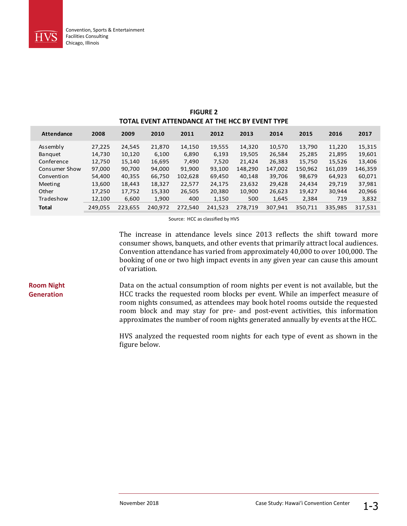

**Room Night Generation**

| TOTAL EVENT ATTENDANCE AT THE HCC BY EVENT TYPE |         |         |         |         |         |         |         |         |         |         |
|-------------------------------------------------|---------|---------|---------|---------|---------|---------|---------|---------|---------|---------|
| <b>Attendance</b>                               | 2008    | 2009    | 2010    | 2011    | 2012    | 2013    | 2014    | 2015    | 2016    | 2017    |
| Assembly                                        | 27,225  | 24,545  | 21,870  | 14,150  | 19,555  | 14,320  | 10,570  | 13.790  | 11,220  | 15,315  |
| <b>Banguet</b>                                  | 14.730  | 10,120  | 6.100   | 6,890   | 6.193   | 19,505  | 26,584  | 25,285  | 21,895  | 19,601  |
| Conference                                      | 12,750  | 15,140  | 16,695  | 7.490   | 7,520   | 21,424  | 26,383  | 15,750  | 15,526  | 13,406  |
| Consumer Show                                   | 97,000  | 90,700  | 94,000  | 91,900  | 93.100  | 148.290 | 147,002 | 150,962 | 161,039 | 146,359 |
| Convention                                      | 54,400  | 40,355  | 66.750  | 102,628 | 69,450  | 40.148  | 39,706  | 98.679  | 64.923  | 60,071  |
| Meeting                                         | 13,600  | 18,443  | 18,327  | 22,577  | 24,175  | 23,632  | 29,428  | 24,434  | 29,719  | 37,981  |
| Other                                           | 17,250  | 17,752  | 15.330  | 26,505  | 20,380  | 10,900  | 26,623  | 19.427  | 30,944  | 20,966  |
| Tradeshow                                       | 12,100  | 6,600   | 1,900   | 400     | 1,150   | 500     | 1,645   | 2,384   | 719     | 3,832   |
| <b>Total</b>                                    | 249.055 | 223,655 | 240.972 | 272.540 | 241,523 | 278.719 | 307.941 | 350.711 | 335.985 | 317.531 |

# **FIGURE 2**

Source: HCC as classified by HVS

The increase in attendance levels since 2013 reflects the shift toward more consumer shows, banquets, and other events that primarily attract local audiences. Convention attendance has varied from approximately 40,000 to over 100,000. The booking of one or two high impact events in any given year can cause this amount of variation.

Data on the actual consumption of room nights per event is not available, but the HCC tracks the requested room blocks per event. While an imperfect measure of room nights consumed, as attendees may book hotel rooms outside the requested room block and may stay for pre- and post-event activities, this information approximates the number of room nights generated annually by events at the HCC.

> HVS analyzed the requested room nights for each type of event as shown in the figure below.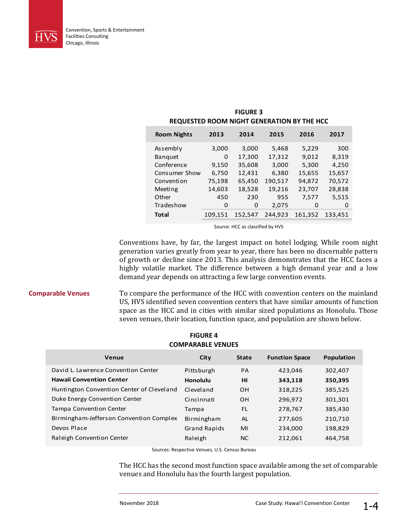

| <b>REQUESTED ROOM NIGHT GENERATION BY THE HCC</b> |         |         |         |         |         |  |
|---------------------------------------------------|---------|---------|---------|---------|---------|--|
| <b>Room Nights</b>                                | 2013    | 2014    | 2015    | 2016    | 2017    |  |
| Assembly                                          | 3,000   | 3,000   | 5,468   | 5,229   | 300     |  |
| <b>Banquet</b>                                    | 0       | 17,300  | 17,312  | 9,012   | 8,319   |  |
| Conference                                        | 9,150   | 35,608  | 3,000   | 5,300   | 4,250   |  |
| Consumer Show                                     | 6,750   | 12,431  | 6.380   | 15,655  | 15,657  |  |
| Convention                                        | 75,198  | 65,450  | 190,517 | 94,872  | 70,572  |  |
| Meeting                                           | 14,603  | 18,528  | 19,216  | 23,707  | 28,838  |  |
| Other                                             | 450     | 230     | 955     | 7,577   | 5,515   |  |
| Tradeshow                                         | 0       | 0       | 2,075   | 0       | O       |  |
| <b>Total</b>                                      | 109,151 | 152,547 | 244.923 | 161,352 | 133,451 |  |
|                                                   |         |         |         |         |         |  |

**FIGURE 3**

Source: HCC as classified by HVS

Conventions have, by far, the largest impact on hotel lodging. While room night generation varies greatly from year to year, there has been no discernable pattern of growth or decline since 2013. This analysis demonstrates that the HCC faces a highly volatile market. The difference between a high demand year and a low demand year depends on attracting a few large convention events.

To compare the performance of the HCC with convention centers on the mainland US, HVS identified seven convention centers that have similar amounts of function space as the HCC and in cities with similar sized populations as Honolulu. Those seven venues, their location, function space, and population are shown below. **Comparable Venues**

| <b>COMPARABLE VENUES</b>                  |                     |              |                       |            |  |
|-------------------------------------------|---------------------|--------------|-----------------------|------------|--|
| Venue                                     | City                | <b>State</b> | <b>Function Space</b> | Population |  |
| David L. Lawrence Convention Center       | Pittsburgh          | PA           | 423,046               | 302,407    |  |
| <b>Hawaii Convention Center</b>           | Honolulu            | нı           | 343,118               | 350,395    |  |
| Huntington Convention Center of Cleveland | Cleveland           | OН           | 318,225               | 385,525    |  |
| Duke Energy Convention Center             | Cincinnati          | OН           | 296,972               | 301,301    |  |
| <b>Tampa Convention Center</b>            | Tampa               | FL.          | 278,767               | 385,430    |  |
| Birmingham-Jefferson Convention Complex   | Birmingham          | AL.          | 277,605               | 210,710    |  |
| Devos Place                               | <b>Grand Rapids</b> | MI           | 234,000               | 198,829    |  |
| Raleigh Convention Center                 | Raleigh             | NC.          | 212,061               | 464,758    |  |

#### **FIGURE 4 COMPARABLE VENUES**

Sources: Respective Venues, U.S. Census Bureau

The HCC has the second most function space available among the set of comparable venues and Honolulu has the fourth largest population.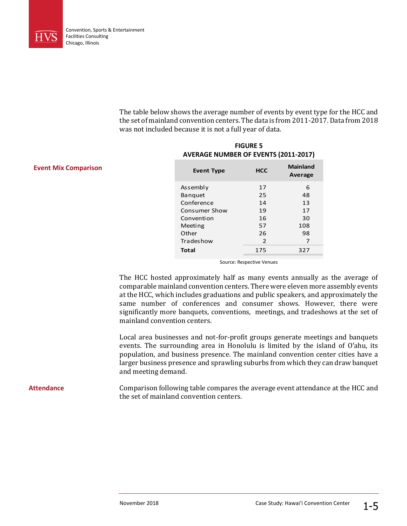

**Event Mix Comparison**

The table below shows the average number of events by event type for the HCC and the set of mainland convention centers. The data is from 2011-2017. Data from 2018 was not included because it is not a full year of data.

| <b>Event Type</b> | <b>HCC</b> | <b>Mainland</b><br>Average |
|-------------------|------------|----------------------------|
| Assembly          | 17         | 6                          |
| Banquet           | 25         | 48                         |
| Conference        | 14         | 13                         |
| Consumer Show     | 19         | 17                         |
| Convention        | 16         | 30                         |
| Meeting           | 57         | 108                        |
| Other             | 26         | 98                         |
| Tradeshow         | 2          | 7                          |
| <b>Total</b>      | 175        | 327                        |

#### **FIGURE 5 AVERAGE NUMBER OF EVENTS (2011-2017)**

Source: Respective Venues

The HCC hosted approximately half as many events annually as the average of comparable mainland convention centers. There were eleven more assembly events at the HCC, which includes graduations and public speakers, and approximately the same number of conferences and consumer shows. However, there were significantly more banquets, conventions, meetings, and tradeshows at the set of mainland convention centers.

Local area businesses and not-for-profit groups generate meetings and banquets events. The surrounding area in Honolulu is limited by the island of O'ahu, its population, and business presence. The mainland convention center cities have a larger business presence and sprawling suburbs from which they can draw banquet and meeting demand.

Comparison following table compares the average event attendance at the HCC and the set of mainland convention centers. **Attendance**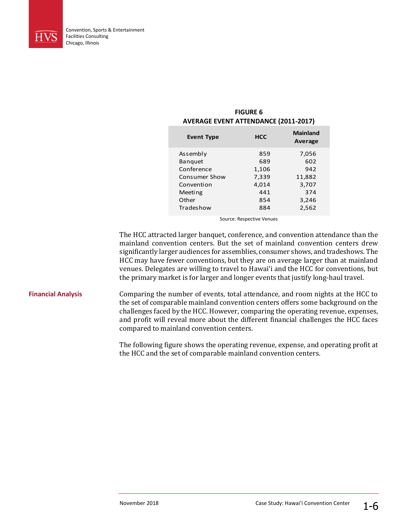

| <b>Event Type</b> | <b>HCC</b> | <b>Mainland</b><br>Average |
|-------------------|------------|----------------------------|
| Assembly          | 859        | 7,056                      |
| <b>Banquet</b>    | 689        | 602                        |
| Conference        | 1,106      | 942                        |
| Consumer Show     | 7,339      | 11,882                     |
| Convention        | 4,014      | 3,707                      |
| Meeting           | 441        | 374                        |
| Other             | 854        | 3,246                      |
| Tradeshow         | 884        | 2,562                      |
|                   |            |                            |

#### **FIGURE 6 AVERAGE EVENT ATTENDANCE (2011-2017)**

Source: Respective Venues

The HCC attracted larger banquet, conference, and convention attendance than the mainland convention centers. But the set of mainland convention centers drew significantly larger audiences for assemblies, consumer shows, and tradeshows. The HCC may have fewer conventions, but they are on average larger than at mainland venues. Delegates are willing to travel to Hawai'i and the HCC for conventions, but the primary market is for larger and longer events that justify long-haul travel.

#### **Financial Analysis**

Comparing the number of events, total attendance, and room nights at the HCC to the set of comparable mainland convention centers offers some background on the challenges faced by the HCC. However, comparing the operating revenue, expenses, and profit will reveal more about the different financial challenges the HCC faces compared to mainland convention centers.

The following figure shows the operating revenue, expense, and operating profit at the HCC and the set of comparable mainland convention centers.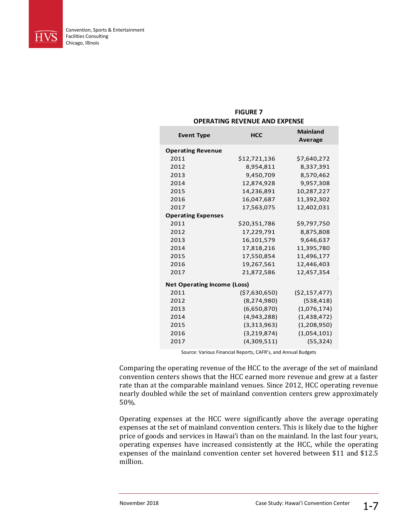

| <b>FIGURE 7</b>               |  |
|-------------------------------|--|
| OPERATING REVENUE AND EXPENSE |  |

| <b>Event Type</b>                  | <b>HCC</b>      | <b>Mainland</b> |  |  |
|------------------------------------|-----------------|-----------------|--|--|
|                                    |                 | Average         |  |  |
| <b>Operating Revenue</b>           |                 |                 |  |  |
| 2011                               | \$12,721,136    | \$7,640,272     |  |  |
| 2012                               | 8,954,811       | 8,337,391       |  |  |
| 2013                               | 9,450,709       | 8,570,462       |  |  |
| 2014                               | 12,874,928      | 9,957,308       |  |  |
| 2015                               | 14,236,891      | 10,287,227      |  |  |
| 2016                               | 16,047,687      | 11,392,302      |  |  |
| 2017                               | 17,563,075      | 12,402,031      |  |  |
| <b>Operating Expenses</b>          |                 |                 |  |  |
| 2011                               | \$20,351,786    | \$9,797,750     |  |  |
| 2012                               | 17,229,791      | 8,875,808       |  |  |
| 2013                               | 16,101,579      | 9,646,637       |  |  |
| 2014                               | 17,818,216      | 11,395,780      |  |  |
| 2015                               | 17,550,854      | 11,496,177      |  |  |
| 2016                               | 19,267,561      | 12,446,403      |  |  |
| 2017                               | 21,872,586      | 12,457,354      |  |  |
| <b>Net Operating Income (Loss)</b> |                 |                 |  |  |
| 2011                               | ( \$7,630,650 ) | ( \$2,157,477)  |  |  |
| 2012                               | (8, 274, 980)   | (538, 418)      |  |  |
| 2013                               | (6,650,870)     | (1,076,174)     |  |  |
| 2014                               | (4,943,288)     | (1,438,472)     |  |  |
| 2015                               | (3,313,963)     | (1,208,950)     |  |  |
| 2016                               | (3,219,874)     | (1,054,101)     |  |  |
| 2017                               | (4,309,511)     | (55, 324)       |  |  |

Source: Various Financial Reports, CAFR's, and Annual Budgets

Comparing the operating revenue of the HCC to the average of the set of mainland convention centers shows that the HCC earned more revenue and grew at a faster rate than at the comparable mainland venues. Since 2012, HCC operating revenue nearly doubled while the set of mainland convention centers grew approximately 50%.

Operating expenses at the HCC were significantly above the average operating expenses at the set of mainland convention centers. This is likely due to the higher price of goods and services in Hawai'i than on the mainland. In the last four years, operating expenses have increased consistently at the HCC, while the operating expenses of the mainland convention center set hovered between \$11 and \$12.5 million.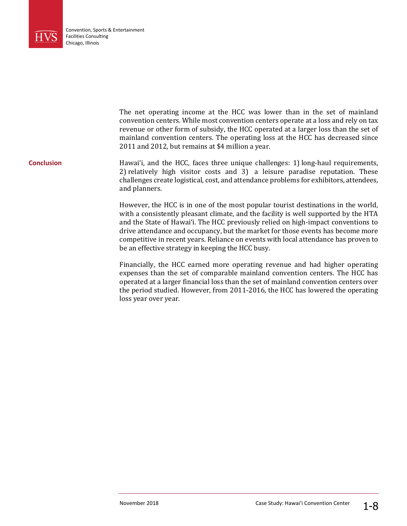

The net operating income at the HCC was lower than in the set of mainland convention centers. While most convention centers operate at a loss and rely on tax revenue or other form of subsidy, the HCC operated at a larger loss than the set of mainland convention centers. The operating loss at the HCC has decreased since 2011 and 2012, but remains at \$4 million a year. Hawai'i, and the HCC, faces three unique challenges: 1) long-haul requirements, 2) relatively high visitor costs and 3) a leisure paradise reputation. These challenges create logistical, cost, and attendance problems for exhibitors, attendees, and planners. However, the HCC is in one of the most popular tourist destinations in the world, with a consistently pleasant climate, and the facility is well supported by the HTA and the State of Hawai'i. The HCC previously relied on high-impact conventions to drive attendance and occupancy, but the market for those events has become more competitive in recent years. Reliance on events with local attendance has proven to be an effective strategy in keeping the HCC busy. **Conclusion**

> Financially, the HCC earned more operating revenue and had higher operating expenses than the set of comparable mainland convention centers. The HCC has operated at a larger financial loss than the set of mainland convention centers over the period studied. However, from 2011-2016, the HCC has lowered the operating loss year over year.